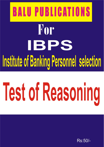## **BALU PUBLICATIONS** For IBPS Institute of Banking Personnel selection

# **Test of Reasoning**

Rs:50/-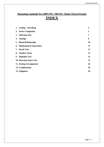## **Reasoning Aptitude For IBPS PO / SBI PO / Bank Clerical Exams INDEX**

| 1. Coding – Decoding              | $\boldsymbol{2}$ |
|-----------------------------------|------------------|
| 2. Series Completion              | 5                |
| 3. Odd man Out                    | 7                |
| 4. Analogy                        | 8                |
| 5. Blood Relationship             | 10               |
| <b>6. Mathematical Operations</b> | 11               |
| 7. Puzzle Test                    | 12               |
| 8. Number Series                  | 13               |
| 9. Alphabet Test                  | 14               |
| <b>10. Direction Sense Test</b>   | 15               |
| 11. Seating Arrangement           | 16               |
| 12. Combinations                  | 18               |
| 13. Syllogism                     | 20               |
|                                   |                  |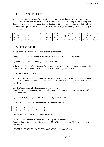### **1. CODING - DECODING**

A code is a system of signals. Therefore, coding is a method of transmitting messages between the sender and receiver without a third person understanding it.The Coding and Decoding test is set up to judge the candidate's ability to decipher the law that codes a particular message and break the code to reveal the message. Following Table will help you code-decode -

|                     |   |              |          |  |   |              | 10 |     | $1^{\circ}$<br>. .       | 1 <sub>2</sub><br>1J |   |       | 16           | 17<br>. . | 18 | 19 | 20           | $^{\sim}$<br>◢ | $\cap$<br>$\overline{\phantom{m}}$ | $\sim$<br>-- | 24           | $\Delta$ $\epsilon$<br>ر_ | 26 |
|---------------------|---|--------------|----------|--|---|--------------|----|-----|--------------------------|----------------------|---|-------|--------------|-----------|----|----|--------------|----------------|------------------------------------|--------------|--------------|---------------------------|----|
|                     |   |              |          |  |   | $\mathbf{v}$ |    |     | . .                      | M                    |   |       |              |           |    |    | $\mathbf{r}$ |                |                                    | <b>TT:</b>   | $\mathbf{v}$ | $\mathbf{v}$              |    |
| $\overline{ }$<br>∸ |   | $\mathbf{v}$ | <b>W</b> |  | m |              |    |     |                          | N                    | M | . .   | $\mathbf{v}$ |           |    |    | G            | E.             |                                    |              |              |                           |    |
|                     | - |              |          |  |   |              | 1Ψ | . . | $\overline{\phantom{0}}$ |                      |   | . L J | 1 V          | . .       |    | 19 | 20           | ◢              | $\overline{\phantom{a}}$           | --           | 49           | رے                        | ZU |

### **A. LETTER CODING -**

A particular letter stands for another letter in letter coding.

Example - If COURSE is coded as FRXUVH, how is RACE coded in that code?

(1) HFDU (2) UCFH (3) UDFH (4) UDHF (5) UDFG

In the given code, each letter is moved three steps forward than the corresponding letter in the word. So R is coded as U, A as D, C as F, E as H. Hence (3) is the answer.

### **B. NUMBER CODING -**

In these questions, either numerical code values are assigned to a word or alphabetical code values are assigned to numbers. The candidate is required to analyse the code as per directions.

Case I: When numerical values are assigned to words. Example : If in a certain code ROPE is coded as 6821, CHAIR is coded as 73456 what will be the code for CRAPE?

(1) 73456 (2) 76421 (3) 77246 (4) 77123 (5) None of these

Clearly, in the given code, the alphabets are coded as follows.

So CRAPE is coded as 76421, So the answer is (2)

Case II: When alphabetical code values are assigned to the numbers. Example: In a certain code 3456 is coded as ROPE. 15546 is coded as APPLE. Then how is 54613 coded?

(1) RPPEO (2) ROPEA (3) POEAR (4) PAREO (5) None of these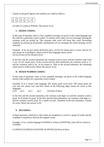Clearly in the given figures, the numbers are coded as follows.

So 54613 is coded as POEAR. The answer is (3)

### **C. MIXED CODING -**

In this type of question, three or four complete messages are given in the coded language and the code for a particular word is asked. To analyse such codes, any two messages bearing the common word are picked up. The common code word will mean that word. Proceeding similarly by picking up all possible combinations of two messages the entire message can be analysed.

Example : If *tee see pee* means *drink fruit juice*, *see kee lee* means *juice is sweet*, and *lee ree mee* means *he is intelligent*, which word in that language means *sweet*? (1) see (2) kee (3) lee (4) pee (5) tee

In the first and the second statements the common word is juice and the common code word is *see*. So *see* means juice. In the second and the third statements, the common word is 'is' and the common code is *lee*. So *lee* means is. Thus in the second statement, the remaining word sweet is coded as kee. Hence the answer is (2).

### **D. MIXED NUMBER CODING -**

In this type of questions, three or four complete messages are given in the coded language and the code number for a particular word is asked.

Example: If in a certain code language, *851* means *good sweet fruit*; *783* means *good red rose* and *341* means *rose and fruit* which of the following digits stands for *sweet* in that language?

(1) 8 (2) 5 (3) 1 (4) 3 (5) None of these

In the first and the second statements, the common code digit is 8 and the common word is *good*. So 8 stands for *good*. In the first and the third statements, the common code digit is 1 and the common word is *fruit*. So 1 stands for *fruit*. Therefore in the first statement, 5 stands for sweet. Hence the answer is (2).

### **E. DECODING -**

In these questions, artificial or code values are assigned to a word or a group of words and the candidate is required to find out the original words.

Example : If in a certain language FLOWER is written as EKNVDQ, what will be written as GNTRD?

(1) HEOUS (2) HOUES (3) HUOSE (4) HOUSE (5) None of these